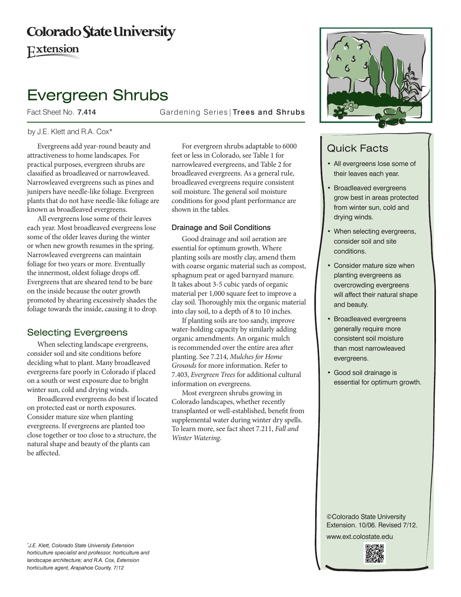# **Colorado State University**

Extension

# Evergreen Shrubs

Fact Sheet No. 7.414 **Gardening Series | Trees and Shrubs** 

### by J.E. Klett and R.A. Cox\*

Evergreens add year-round beauty and attractiveness to home landscapes. For practical purposes, evergreen shrubs are classified as broadleaved or narrowleaved. Narrowleaved evergreens such as pines and junipers have needle-like foliage. Evergreen plants that do not have needle-like foliage are known as broadleaved evergreens.

All evergreens lose some of their leaves each year. Most broadleaved evergreens lose some of the older leaves during the winter or when new growth resumes in the spring. Narrowleaved evergreens can maintain foliage for two years or more. Eventually the innermost, oldest foliage drops off. Evergreens that are sheared tend to be bare on the inside because the outer growth promoted by shearing excessively shades the foliage towards the inside, causing it to drop.

## Selecting Evergreens

When selecting landscape evergreens, consider soil and site conditions before deciding what to plant. Many broadleaved evergreens fare poorly in Colorado if placed on a south or west exposure due to bright winter sun, cold and drying winds.

Broadleaved evergreens do best if located on protected east or north exposures. Consider mature size when planting evergreens. If evergreens are planted too close together or too close to a structure, the natural shape and beauty of the plants can be affected.

For evergreen shrubs adaptable to 6000 feet or less in Colorado, see Table 1 for narrowleaved evergreens, and Table 2 for broadleaved evergreens. As a general rule, broadleaved evergreens require consistent soil moisture. The general soil moisture conditions for good plant performance are shown in the tables.

#### Drainage and Soil Conditions

Good drainage and soil aeration are essential for optimum growth. Where planting soils are mostly clay, amend them with coarse organic material such as compost, sphagnum peat or aged barnyard manure. It takes about 3-5 cubic yards of organic material per 1,000 square feet to improve a clay soil. Thoroughly mix the organic material into clay soil, to a depth of 8 to 10 inches.

If planting soils are too sandy, improve water-holding capacity by similarly adding organic amendments. An organic mulch is recommended over the entire area after planting. See 7.214, *Mulches for Home Grounds* for more information. Refer to 7.403, *Evergreen Trees* for additional cultural information on evergreens.

Most evergreen shrubs growing in Colorado landscapes, whether recently transplanted or well-established, benefit from supplemental water during winter dry spells. To learn more, see fact sheet 7.211, *Fall and Winter Watering*.



# Quick Facts

- • All evergreens lose some of their leaves each year.
- **Broadleaved evergreens** grow best in areas protected from winter sun, cold and drying winds.
- When selecting evergreens, consider soil and site conditions.
- Consider mature size when planting evergreens as overcrowding evergreens will affect their natural shape and beauty.
- • Broadleaved evergreens generally require more consistent soil moisture than most narrowleaved evergreens.
- Good soil drainage is essential for optimum growth.

©Colorado State University Extension. 10/06. Revised 7/12.

www.ext.colostate.edu

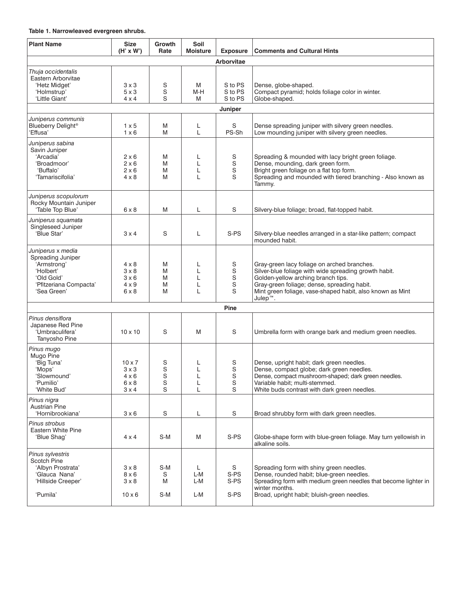#### **Table 1. Narrowleaved evergreen shrubs.**

| <b>Plant Name</b>                                                                                                         | <b>Size</b><br>$(H' \times W')$                                        | Growth<br>Rate                  | Soil<br><b>Moisture</b> | <b>Exposure</b>               | <b>Comments and Cultural Hints</b>                                                                                                                                                                                                                                   |  |  |
|---------------------------------------------------------------------------------------------------------------------------|------------------------------------------------------------------------|---------------------------------|-------------------------|-------------------------------|----------------------------------------------------------------------------------------------------------------------------------------------------------------------------------------------------------------------------------------------------------------------|--|--|
| <b>Arborvitae</b>                                                                                                         |                                                                        |                                 |                         |                               |                                                                                                                                                                                                                                                                      |  |  |
| Thuja occidentalis<br>Eastern Arborvitae<br>'Hetz Midget'<br>'Holmstrup'<br>'Little Giant'                                | $3 \times 3$<br>$5 \times 3$<br>$4 \times 4$                           | S<br>S<br>S                     | M<br>M-H<br>M           | S to PS<br>S to PS<br>S to PS | Dense, globe-shaped.<br>Compact pyramid; holds foliage color in winter.<br>Globe-shaped.                                                                                                                                                                             |  |  |
| Juniper                                                                                                                   |                                                                        |                                 |                         |                               |                                                                                                                                                                                                                                                                      |  |  |
| Juniperus communis<br>Blueberry Delight <sup>®</sup><br>'Effusa'                                                          | $1 \times 5$<br>$1 \times 6$                                           | M<br>M                          | L<br>L                  | S<br>PS-Sh                    | Dense spreading juniper with silvery green needles.<br>Low mounding juniper with silvery green needles.                                                                                                                                                              |  |  |
| Juniperus sabina<br>Savin Juniper<br>'Arcadia'<br>'Broadmoor'<br>'Buffalo'<br>'Tamariscifolia'                            | $2 \times 6$<br>$2 \times 6$<br>$2 \times 6$<br>$4 \times 8$           | M<br>M<br>M<br>M                | L<br>L<br>L<br>L        | S<br>$\mathbf S$<br>S<br>S    | Spreading & mounded with lacy bright green foliage.<br>Dense, mounding, dark green form.<br>Bright green foliage on a flat top form.<br>Spreading and mounded with tiered branching - Also known as<br>Tammy.                                                        |  |  |
| Juniperus scopulorum<br>Rocky Mountain Juniper<br>'Table Top Blue'                                                        | $6 \times 8$                                                           | M                               | L                       | S                             | Silvery-blue foliage; broad, flat-topped habit.                                                                                                                                                                                                                      |  |  |
| Juniperus squamata<br>Singleseed Juniper<br>'Blue Star'                                                                   | $3 \times 4$                                                           | S                               | L                       | S-PS                          | Silvery-blue needles arranged in a star-like pattern; compact<br>mounded habit.                                                                                                                                                                                      |  |  |
| Juniperus x media<br>Spreading Juniper<br>'Armstrong'<br>'Holbert'<br>'Old Gold'<br>'Pfitzeriana Compacta'<br>'Sea Green' | 4 x 8<br>$3 \times 8$<br>$3 \times 6$<br>$4 \times 9$<br>$6 \times 8$  | M<br>M<br>M<br>M<br>M           | L<br>L<br>L<br>L<br>L   | S<br>S<br>S<br>S<br>S         | Gray-green lacy foliage on arched branches.<br>Silver-blue foliage with wide spreading growth habit.<br>Golden-yellow arching branch tips.<br>Gray-green foliage; dense, spreading habit.<br>Mint green foliage, vase-shaped habit, also known as Mint<br>$Julep^m.$ |  |  |
|                                                                                                                           |                                                                        |                                 |                         | <b>Pine</b>                   |                                                                                                                                                                                                                                                                      |  |  |
| Pinus densiflora<br>Japanese Red Pine<br>'Umbraculifera'<br>Tanyosho Pine                                                 | $10 \times 10$                                                         | S                               | M                       | S                             | Umbrella form with orange bark and medium green needles.                                                                                                                                                                                                             |  |  |
| Pinus mugo<br>Mugo Pine<br>'Big Tuna'<br>'Mops'<br>'Slowmound'<br>'Pumilio'<br>'White Bud'                                | $10 \times 7$<br>$3 \times 3$<br>$4 \times 6$<br>6 x 8<br>$3 \times 4$ | S<br>S<br>$\mathbf S$<br>S<br>S | L<br>L<br>L<br>L<br>L   | S<br>S<br>S<br>S<br>S         | Dense, upright habit; dark green needles.<br>Dense, compact globe; dark green needles.<br>Dense, compact mushroom-shaped; dark green needles.<br>Variable habit; multi-stemmed.<br>White buds contrast with dark green needles.                                      |  |  |
| Pinus nigra<br>Austrian Pine<br>'Hornibrookiana'                                                                          | $3 \times 6$                                                           | S                               | L                       | S                             | Broad shrubby form with dark green needles.                                                                                                                                                                                                                          |  |  |
| Pinus strobus<br><b>Eastern White Pine</b><br>'Blue Shag'                                                                 | $4 \times 4$                                                           | S-M                             | M                       | S-PS                          | Globe-shape form with blue-green foliage. May turn yellowish in<br>alkaline soils.                                                                                                                                                                                   |  |  |
| Pinus sylvestris<br>Scotch Pine<br>'Albyn Prostrata'<br>'Glauca Nana'<br>'Hillside Creeper'<br>'Pumila'                   | $3 \times 8$<br>8 x 6<br>$3 \times 8$<br>$10 \times 6$                 | S-M<br>S<br>Μ<br>S-M            | L<br>L-M<br>L-M<br>L-M  | S<br>S-PS<br>S-PS<br>S-PS     | Spreading form with shiny green needles.<br>Dense, rounded habit; blue-green needles.<br>Spreading form with medium green needles that become lighter in<br>winter months.<br>Broad, upright habit; bluish-green needles.                                            |  |  |
|                                                                                                                           |                                                                        |                                 |                         |                               |                                                                                                                                                                                                                                                                      |  |  |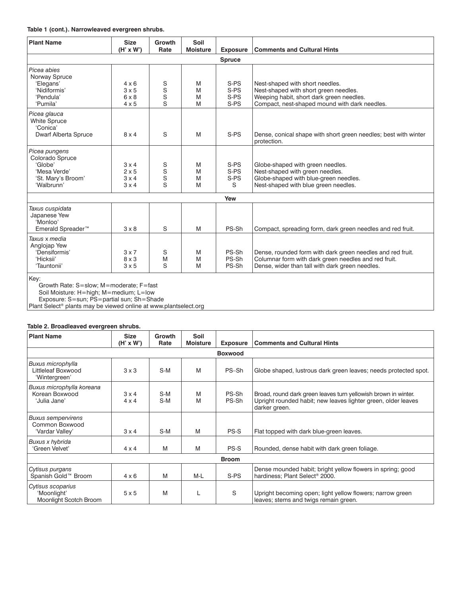#### **Table 1 (cont.). Narrowleaved evergreen shrubs.**

| <b>Plant Name</b>                                                                               | <b>Size</b><br>$(H' \times W')$                              | <b>Growth</b><br>Rate | Soil<br><b>Moisture</b> | <b>Exposure</b>              | <b>Comments and Cultural Hints</b>                                                                                                                                    |
|-------------------------------------------------------------------------------------------------|--------------------------------------------------------------|-----------------------|-------------------------|------------------------------|-----------------------------------------------------------------------------------------------------------------------------------------------------------------------|
|                                                                                                 |                                                              |                       |                         | <b>Spruce</b>                |                                                                                                                                                                       |
| Picea abies<br>Norway Spruce<br>'Elegans'<br>'Nidiformis'<br>'Pendula'<br>'Pumila'              | $4 \times 6$<br>3x5<br>$6 \times 8$<br>$4 \times 5$          | S<br>S<br>S<br>S      | M<br>M<br>M<br>M        | S-PS<br>S-PS<br>S-PS<br>S-PS | Nest-shaped with short needles.<br>Nest-shaped with short green needles.<br>Weeping habit, short dark green needles.<br>Compact, nest-shaped mound with dark needles. |
| Picea glauca<br><b>White Spruce</b><br>'Conica'<br>Dwarf Alberta Spruce                         | $8 \times 4$                                                 | S                     | M                       | S-PS                         | Dense, conical shape with short green needles; best with winter<br>protection.                                                                                        |
| Picea pungens<br>Colorado Spruce<br>'Globe'<br>'Mesa Verde'<br>'St. Mary's Broom'<br>'Walbrunn' | $3 \times 4$<br>$2 \times 5$<br>$3 \times 4$<br>$3 \times 4$ | S<br>S<br>S<br>S      | M<br>M<br>M<br>M        | S-PS<br>S-PS<br>S-PS<br>S    | Globe-shaped with green needles.<br>Nest-shaped with green needles.<br>Globe-shaped with blue-green needles.<br>Nest-shaped with blue green needles.                  |
|                                                                                                 |                                                              |                       |                         | Yew                          |                                                                                                                                                                       |
| Taxus cuspidata<br>Japanese Yew<br>'Monloo'<br>Emerald Spreader <sup>™</sup>                    | $3 \times 8$                                                 | S                     | M                       | PS-Sh                        | Compact, spreading form, dark green needles and red fruit.                                                                                                            |
| Taxus x media<br>Anglojap Yew<br>'Densiformis'<br>'Hicksii'<br>'Tauntonii'                      | $3 \times 7$<br>$8 \times 3$<br>$3 \times 5$                 | S<br>M<br>S           | M<br>M<br>M             | PS-Sh<br>PS-Sh<br>PS-Sh      | Dense, rounded form with dark green needles and red fruit.<br>Columnar form with dark green needles and red fruit.<br>Dense, wider than tall with dark green needles. |
| Key:                                                                                            |                                                              |                       |                         |                              |                                                                                                                                                                       |

Growth Rate: S=slow; M=moderate; F=fast

Soil Moisture: H=high; M=medium; L=low

Exposure: S=sun; PS=partial sun; Sh=Shade

Plant Select® plants may be viewed online at www.plantselect.org

#### **Table 2. Broadleaved evergreen shrubs.**

| <b>Plant Name</b>                                               | <b>Size</b><br>$(H' \times W')$ | <b>Growth</b><br>Rate | Soil<br><b>Moisture</b> | <b>Exposure</b> | <b>Comments and Cultural Hints</b>                                                                                                               |  |  |  |
|-----------------------------------------------------------------|---------------------------------|-----------------------|-------------------------|-----------------|--------------------------------------------------------------------------------------------------------------------------------------------------|--|--|--|
| <b>Boxwood</b>                                                  |                                 |                       |                         |                 |                                                                                                                                                  |  |  |  |
| <b>Buxus microphylla</b><br>Littleleaf Boxwood<br>'Wintergreen' | $3 \times 3$                    | $S-M$                 | M                       | PS-Sh           | Globe shaped, lustrous dark green leaves; needs protected spot.                                                                                  |  |  |  |
| Buxus microphylla koreana<br>Korean Boxwood<br>'Julia Jane'     | 3x4<br>$4 \times 4$             | $S-M$<br>$S-M$        | M<br>M                  | PS-Sh<br>PS-Sh  | Broad, round dark green leaves turn yellowish brown in winter.<br>Upright rounded habit; new leaves lighter green, older leaves<br>darker green. |  |  |  |
| <b>Buxus sempervirens</b><br>Common Boxwood<br>'Vardar Valley'  | 3x4                             | $S-M$                 | M                       | PS-S            | Flat topped with dark blue-green leaves.                                                                                                         |  |  |  |
| Buxus x hybrida<br>'Green Velvet'                               | $4 \times 4$                    | M                     | M                       | PS-S            | Rounded, dense habit with dark green foliage.                                                                                                    |  |  |  |
| <b>Broom</b>                                                    |                                 |                       |                         |                 |                                                                                                                                                  |  |  |  |
| Cytisus purgans<br>Spanish Gold™ Broom                          | $4 \times 6$                    | M                     | $M-L$                   | S-PS            | Dense mounded habit; bright yellow flowers in spring; good<br>hardiness: Plant Select <sup>®</sup> 2000.                                         |  |  |  |
| Cytisus scoparius<br>'Moonlight'<br>Moonlight Scotch Broom      | 5x5                             | M                     | L                       | S               | Upright becoming open; light yellow flowers; narrow green<br>leaves; stems and twigs remain green.                                               |  |  |  |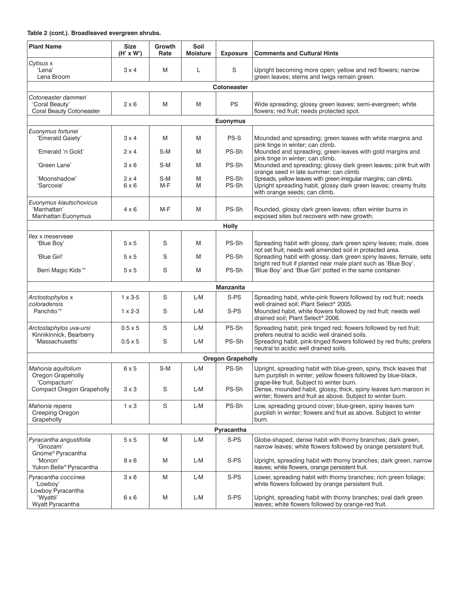#### **Table 2 (cont.). Broadleaved evergreen shrubs.**

| <b>Plant Name</b>                                                        | <b>Size</b><br>$(H' \times W')$ | <b>Growth</b><br>Rate | Soil<br><b>Moisture</b> | <b>Exposure</b>          | <b>Comments and Cultural Hints</b>                                                                                                                                                 |  |  |  |
|--------------------------------------------------------------------------|---------------------------------|-----------------------|-------------------------|--------------------------|------------------------------------------------------------------------------------------------------------------------------------------------------------------------------------|--|--|--|
| Cytisus x<br>'Lena'<br>Lena Broom                                        | $3 \times 4$                    | M                     | Г                       | $\mathbb S$              | Upright becoming more open; yellow and red flowers; narrow<br>green leaves; stems and twigs remain green.                                                                          |  |  |  |
| Cotoneaster                                                              |                                 |                       |                         |                          |                                                                                                                                                                                    |  |  |  |
| Cotoneaster dammeri<br>'Coral Beauty'<br><b>Coral Beauty Cotoneaster</b> | $2 \times 6$                    | M                     | M                       | <b>PS</b>                | Wide spreading; glossy green leaves; semi-evergreen; white<br>flowers; red fruit; needs protected spot.                                                                            |  |  |  |
|                                                                          |                                 |                       |                         | <b>Euonymus</b>          |                                                                                                                                                                                    |  |  |  |
| Euonymus fortunei                                                        |                                 |                       |                         |                          |                                                                                                                                                                                    |  |  |  |
| 'Emerald Gaiety'                                                         | $3 \times 4$                    | M                     | M                       | PS-S                     | Mounded and spreading; green leaves with white margins and<br>pink tinge in winter; can climb.                                                                                     |  |  |  |
| 'Emerald 'n Gold'                                                        | $2 \times 4$                    | $S-M$                 | M                       | PS-Sh                    | Mounded and spreading; green leaves with gold margins and<br>pink tinge in winter; can climb.                                                                                      |  |  |  |
| 'Green Lane'                                                             | $3 \times 6$                    | $S-M$                 | M                       | PS-Sh                    | Mounded and spreading; glossy dark green leaves; pink fruit with<br>orange seed in late summer; can climb.                                                                         |  |  |  |
| 'Moonshadow'<br>'Sarcoxie'                                               | $2 \times 4$<br>6x6             | S-M<br>$M-F$          | M<br>M                  | PS-Sh<br>PS-Sh           | Spreads, yellow leaves with green irregular margins; can climb.<br>Upright spreading habit, glossy dark green leaves; creamy fruits<br>with orange seeds; can climb.               |  |  |  |
| Euonymus kiautschovicus<br>'Manhattan'<br><b>Manhattan Euonymus</b>      | $4 \times 6$                    | M-F                   | M                       | PS-Sh                    | Rounded, glossy dark green leaves; often winter burns in<br>exposed sites but recovers with new growth.                                                                            |  |  |  |
|                                                                          | <b>Holly</b>                    |                       |                         |                          |                                                                                                                                                                                    |  |  |  |
| llex x meserveae<br>'Blue Boy'                                           | 5x5                             | S                     | M                       | PS-Sh                    | Spreading habit with glossy, dark green spiny leaves; male, does                                                                                                                   |  |  |  |
| 'Blue Girl'                                                              | 5x5                             | S                     | M                       | PS-Sh                    | not set fruit; needs well amended soil in protected area.<br>Spreading habit with glossy, dark green spiny leaves; female, sets                                                    |  |  |  |
| Berri Magic Kids <sup>™</sup>                                            | 5x5                             | S                     | M                       | PS-Sh                    | bright red fruit if planted near male plant such as 'Blue Boy'.<br>'Blue Boy' and 'Blue Girl' potted in the same container.                                                        |  |  |  |
|                                                                          |                                 |                       |                         | <b>Manzanita</b>         |                                                                                                                                                                                    |  |  |  |
| Arctostophylos x                                                         | $1 \times 3 - 5$                | S                     | L-M                     | S-PS                     | Spreading habit, white-pink flowers followed by red fruit; needs                                                                                                                   |  |  |  |
| coloradensis<br>Panchito <sup>™</sup>                                    | $1 \times 2 - 3$                | S                     | L-M                     | S-PS                     | well drained soil; Plant Select <sup>®</sup> 2005.<br>Mounded habit, white flowers followed by red fruit; needs well<br>drained soil; Plant Select® 2006.                          |  |  |  |
| Arctostaphylos uva-ursi                                                  | $0.5 \times 5$                  | S                     | L-M                     | PS-Sh                    | Spreading habit; pink tinged red; flowers followed by red fruit;                                                                                                                   |  |  |  |
| Kinnikinnick, Bearberry<br>'Massachusetts'                               | $0.5 \times 5$                  | S                     | L-M                     | PS-Sh                    | prefers neutral to acidic well drained soils.<br>Spreading habit, pink-tinged flowers followed by red fruits; prefers<br>neutral to acidic well drained soils.                     |  |  |  |
|                                                                          |                                 |                       |                         | <b>Oregon Grapeholly</b> |                                                                                                                                                                                    |  |  |  |
| Mahonia aquifolium<br>Oregon Grapeholly<br>'Compactum'                   | 6x5                             | S-M                   | L-M                     | PS-Sh                    | Upright, spreading habit with blue-green, spiny, thick leaves that<br>turn purplish in winter; yellow flowers followed by blue-black,<br>grape-like fruit. Subject to winter burn. |  |  |  |
| <b>Compact Oregon Grapeholly</b>                                         | $3 \times 3$                    | S                     | L-M                     | PS-Sh                    | Dense, mounded habit, glossy, thick, spiny leaves turn maroon in<br>winter; flowers and fruit as above. Subject to winter burn.                                                    |  |  |  |
| Mahonia repens<br>Creeping Oregon<br>Grapeholly                          | $1 \times 3$                    | S                     | L-M                     | PS-Sh                    | Low, spreading ground cover; blue-green, spiny leaves turn<br>purplish in winter; flowers and fruit as above. Subject to winter<br>burn.                                           |  |  |  |
| Pyracantha                                                               |                                 |                       |                         |                          |                                                                                                                                                                                    |  |  |  |
| Pyracantha angustifolia<br>'Gnozam'                                      | 5x5                             | Μ                     | L-M                     | S-PS                     | Globe-shaped, dense habit with thorny branches; dark green,<br>narrow leaves; white flowers followed by orange persistent fruit.                                                   |  |  |  |
| Gnome <sup>®</sup> Pyracantha<br>'Monon'<br>Yukon Belle® Pyracantha      | $8 \times 6$                    | Μ                     | L-M                     | S-PS                     | Upright, spreading habit with thorny branches; dark green, narrow<br>leaves; white flowers, orange persistent fruit.                                                               |  |  |  |
| Pyracantha coccinea<br>'Lowboy'                                          | $3 \times 6$                    | M                     | L-M                     | S-PS                     | Lower, spreading habit with thorny branches; rich green foliage;<br>white flowers followed by orange persistent fruit.                                                             |  |  |  |
| Lowboy Pyracantha<br>'Wyattii'<br>Wyatt Pyracantha                       | $6 \times 6$                    | M                     | L-M                     | S-PS                     | Upright, spreading habit with thorny branches; oval dark green<br>leaves; white flowers followed by orange-red fruit.                                                              |  |  |  |